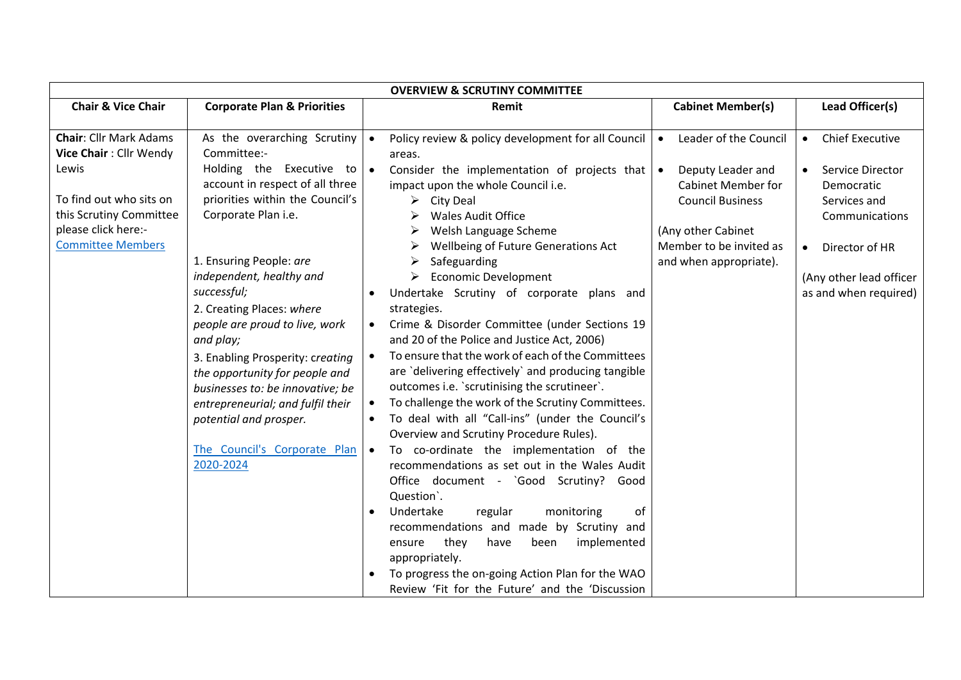| <b>OVERVIEW &amp; SCRUTINY COMMITTEE</b>                                                                                                                                  |                                                                                                                                                                                                                                                                                                                                                                                                                                                                                                |                                                                |                                                                                                                                                                                                                                                                                                                                                                                                                                                                                                                                                                                                                                                                                                                     |                                                                                                                                                                                                         |                                                                                                                                                                                                         |  |
|---------------------------------------------------------------------------------------------------------------------------------------------------------------------------|------------------------------------------------------------------------------------------------------------------------------------------------------------------------------------------------------------------------------------------------------------------------------------------------------------------------------------------------------------------------------------------------------------------------------------------------------------------------------------------------|----------------------------------------------------------------|---------------------------------------------------------------------------------------------------------------------------------------------------------------------------------------------------------------------------------------------------------------------------------------------------------------------------------------------------------------------------------------------------------------------------------------------------------------------------------------------------------------------------------------------------------------------------------------------------------------------------------------------------------------------------------------------------------------------|---------------------------------------------------------------------------------------------------------------------------------------------------------------------------------------------------------|---------------------------------------------------------------------------------------------------------------------------------------------------------------------------------------------------------|--|
| <b>Chair &amp; Vice Chair</b>                                                                                                                                             | <b>Corporate Plan &amp; Priorities</b>                                                                                                                                                                                                                                                                                                                                                                                                                                                         |                                                                | Remit                                                                                                                                                                                                                                                                                                                                                                                                                                                                                                                                                                                                                                                                                                               | <b>Cabinet Member(s)</b>                                                                                                                                                                                | Lead Officer(s)                                                                                                                                                                                         |  |
| <b>Chair:</b> Cllr Mark Adams<br>Vice Chair: Cllr Wendy<br>Lewis<br>To find out who sits on<br>this Scrutiny Committee<br>please click here:-<br><b>Committee Members</b> | As the overarching Scrutiny<br>Committee:-<br>Holding the Executive to<br>account in respect of all three<br>priorities within the Council's<br>Corporate Plan i.e.<br>1. Ensuring People: are<br>independent, healthy and<br>successful;<br>2. Creating Places: where<br>people are proud to live, work<br>and play;<br>3. Enabling Prosperity: creating<br>the opportunity for people and<br>businesses to: be innovative; be<br>entrepreneurial; and fulfil their<br>potential and prosper. | $\bullet$<br>areas.<br>$\bullet$<br>≻<br>➤<br>➤<br>strategies. | Policy review & policy development for all Council<br>Consider the implementation of projects that<br>impact upon the whole Council i.e.<br>City Deal<br><b>Wales Audit Office</b><br>Welsh Language Scheme<br>Wellbeing of Future Generations Act<br>Safeguarding<br><b>Economic Development</b><br>Undertake Scrutiny of corporate plans and<br>Crime & Disorder Committee (under Sections 19<br>and 20 of the Police and Justice Act, 2006)<br>To ensure that the work of each of the Committees<br>are 'delivering effectively' and producing tangible<br>outcomes i.e. 'scrutinising the scrutineer'.<br>To challenge the work of the Scrutiny Committees.<br>To deal with all "Call-ins" (under the Council's | Leader of the Council<br>$\bullet$<br>Deputy Leader and<br>$\bullet$<br><b>Cabinet Member for</b><br><b>Council Business</b><br>(Any other Cabinet<br>Member to be invited as<br>and when appropriate). | <b>Chief Executive</b><br>$\bullet$<br>Service Director<br>$\bullet$<br>Democratic<br>Services and<br>Communications<br>Director of HR<br>$\bullet$<br>(Any other lead officer<br>as and when required) |  |
|                                                                                                                                                                           | The Council's Corporate Plan<br>2020-2024                                                                                                                                                                                                                                                                                                                                                                                                                                                      | $\bullet$<br>$\bullet$                                         | Overview and Scrutiny Procedure Rules).<br>To co-ordinate the implementation of the<br>recommendations as set out in the Wales Audit<br>Office document - `Good Scrutiny? Good<br>Question <sup>'</sup> .<br>Undertake<br>regular<br>monitoring<br>of<br>recommendations and made by Scrutiny and<br>they<br>implemented<br>ensure<br>have<br>been<br>appropriately.<br>To progress the on-going Action Plan for the WAO<br>Review 'Fit for the Future' and the 'Discussion                                                                                                                                                                                                                                         |                                                                                                                                                                                                         |                                                                                                                                                                                                         |  |